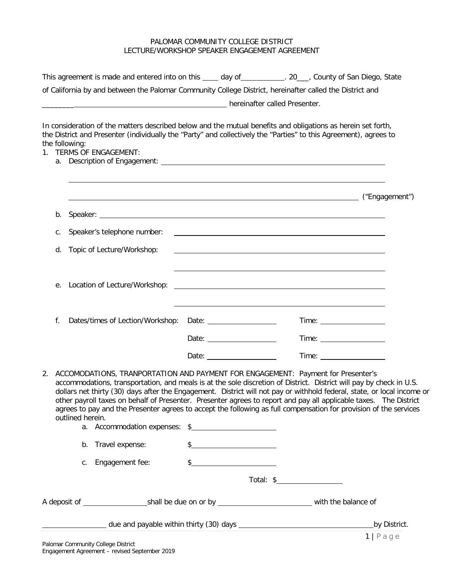## PALOMAR COMMUNITY COLLEGE DISTRICT LECTURE/WORKSHOP SPEAKER ENGAGEMENT AGREEMENT

|    |    |                  | This agreement is made and entered into on this _____ day of ____________. 20___, County of San Diego, State                                                                                                                                                                                                                                                                                                                                                                                                                                                                 |                                                                                                                                                                                                                                                                                                                     |                                                                                                                        |  |
|----|----|------------------|------------------------------------------------------------------------------------------------------------------------------------------------------------------------------------------------------------------------------------------------------------------------------------------------------------------------------------------------------------------------------------------------------------------------------------------------------------------------------------------------------------------------------------------------------------------------------|---------------------------------------------------------------------------------------------------------------------------------------------------------------------------------------------------------------------------------------------------------------------------------------------------------------------|------------------------------------------------------------------------------------------------------------------------|--|
|    |    |                  | of California by and between the Palomar Community College District, hereinafter called the District and<br>nereinafter called Presenter.                                                                                                                                                                                                                                                                                                                                                                                                                                    |                                                                                                                                                                                                                                                                                                                     |                                                                                                                        |  |
| 1. |    | the following:   | In consideration of the matters described below and the mutual benefits and obligations as herein set forth,<br>the District and Presenter (individually the "Party" and collectively the "Parties" to this Agreement), agrees to<br><b>TERMS OF ENGAGEMENT:</b>                                                                                                                                                                                                                                                                                                             |                                                                                                                                                                                                                                                                                                                     |                                                                                                                        |  |
|    | а. |                  |                                                                                                                                                                                                                                                                                                                                                                                                                                                                                                                                                                              |                                                                                                                                                                                                                                                                                                                     |                                                                                                                        |  |
|    |    |                  |                                                                                                                                                                                                                                                                                                                                                                                                                                                                                                                                                                              |                                                                                                                                                                                                                                                                                                                     |                                                                                                                        |  |
|    | b. |                  |                                                                                                                                                                                                                                                                                                                                                                                                                                                                                                                                                                              |                                                                                                                                                                                                                                                                                                                     |                                                                                                                        |  |
|    | С. |                  | Speaker's telephone number:                                                                                                                                                                                                                                                                                                                                                                                                                                                                                                                                                  |                                                                                                                                                                                                                                                                                                                     | <u> 1989 - Johann Barn, amerikansk politiker (d. 1989)</u>                                                             |  |
|    | d. |                  | Topic of Lecture/Workshop:                                                                                                                                                                                                                                                                                                                                                                                                                                                                                                                                                   |                                                                                                                                                                                                                                                                                                                     |                                                                                                                        |  |
|    | е. |                  | Location of Lecture/Workshop:                                                                                                                                                                                                                                                                                                                                                                                                                                                                                                                                                |                                                                                                                                                                                                                                                                                                                     | <u> 1989 - Johann John Stoff, deutscher Stoffen und der Stoffen und der Stoffen und der Stoffen und der Stoffen un</u> |  |
|    | f. |                  | Dates/times of Lection/Workshop:                                                                                                                                                                                                                                                                                                                                                                                                                                                                                                                                             |                                                                                                                                                                                                                                                                                                                     |                                                                                                                        |  |
|    |    |                  |                                                                                                                                                                                                                                                                                                                                                                                                                                                                                                                                                                              |                                                                                                                                                                                                                                                                                                                     |                                                                                                                        |  |
|    |    |                  |                                                                                                                                                                                                                                                                                                                                                                                                                                                                                                                                                                              | Date: $\sqrt{ }$                                                                                                                                                                                                                                                                                                    |                                                                                                                        |  |
| 2. |    | outlined herein. | ACCOMODATIONS, TRANPORTATION AND PAYMENT FOR ENGAGEMENT: Payment for Presenter's<br>accommodations, transportation, and meals is at the sole discretion of District. District will pay by check in U.S.<br>dollars net thirty (30) days after the Engagement. District will not pay or withhold federal, state, or local income or<br>other payroll taxes on behalf of Presenter. Presenter agrees to report and pay all applicable taxes. The District<br>agrees to pay and the Presenter agrees to accept the following as full compensation for provision of the services |                                                                                                                                                                                                                                                                                                                     |                                                                                                                        |  |
|    |    |                  | b. Travel expense:                                                                                                                                                                                                                                                                                                                                                                                                                                                                                                                                                           | $\frac{1}{2}$                                                                                                                                                                                                                                                                                                       |                                                                                                                        |  |
|    |    | С.               | Engagement fee:                                                                                                                                                                                                                                                                                                                                                                                                                                                                                                                                                              | $\frac{1}{2}$ $\frac{1}{2}$ $\frac{1}{2}$ $\frac{1}{2}$ $\frac{1}{2}$ $\frac{1}{2}$ $\frac{1}{2}$ $\frac{1}{2}$ $\frac{1}{2}$ $\frac{1}{2}$ $\frac{1}{2}$ $\frac{1}{2}$ $\frac{1}{2}$ $\frac{1}{2}$ $\frac{1}{2}$ $\frac{1}{2}$ $\frac{1}{2}$ $\frac{1}{2}$ $\frac{1}{2}$ $\frac{1}{2}$ $\frac{1}{2}$ $\frac{1}{2}$ |                                                                                                                        |  |
|    |    |                  |                                                                                                                                                                                                                                                                                                                                                                                                                                                                                                                                                                              |                                                                                                                                                                                                                                                                                                                     |                                                                                                                        |  |
|    |    |                  |                                                                                                                                                                                                                                                                                                                                                                                                                                                                                                                                                                              |                                                                                                                                                                                                                                                                                                                     |                                                                                                                        |  |
|    |    |                  |                                                                                                                                                                                                                                                                                                                                                                                                                                                                                                                                                                              |                                                                                                                                                                                                                                                                                                                     | by District.                                                                                                           |  |
|    |    |                  |                                                                                                                                                                                                                                                                                                                                                                                                                                                                                                                                                                              |                                                                                                                                                                                                                                                                                                                     | $1   P \text{age}$                                                                                                     |  |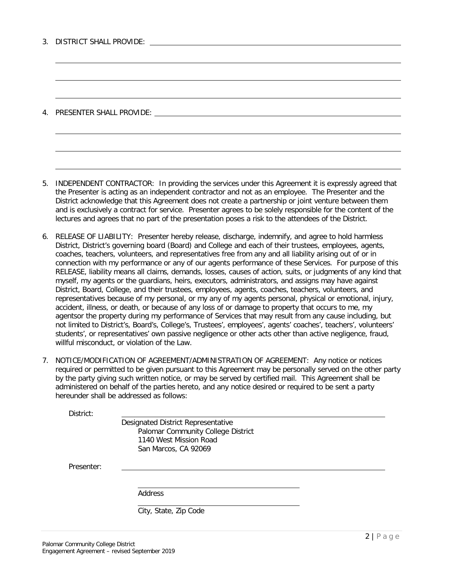|  | 3. DISTRICT SHALL PROVIDE: |
|--|----------------------------|
|  |                            |

4. PRESENTER SHALL PROVIDE:

5. INDEPENDENT CONTRACTOR: In providing the services under this Agreement it is expressly agreed that the Presenter is acting as an independent contractor and not as an employee. The Presenter and the District acknowledge that this Agreement does not create a partnership or joint venture between them and is exclusively a contract for service. Presenter agrees to be solely responsible for the content of the lectures and agrees that no part of the presentation poses a risk to the attendees of the District.

6. RELEASE OF LIABILITY: Presenter hereby release, discharge, indemnify, and agree to hold harmless District, District's governing board (Board) and College and each of their trustees, employees, agents, coaches, teachers, volunteers, and representatives free from any and all liability arising out of or in connection with my performance or any of our agents performance of these Services. For purpose of this RELEASE, liability means all claims, demands, losses, causes of action, suits, or judgments of any kind that myself, my agents or the guardians, heirs, executors, administrators, and assigns may have against District, Board, College, and their trustees, employees, agents, coaches, teachers, volunteers, and representatives because of my personal, or my any of my agents personal, physical or emotional, injury, accident, illness, or death, or because of any loss of or damage to property that occurs to me, my agentsor the property during my performance of Services that may result from any cause including, but not limited to District's, Board's, College's, Trustees', employees', agents' coaches', teachers', volunteers' students', or representatives' own passive negligence or other acts other than active negligence, fraud, willful misconduct, or violation of the Law.

7. NOTICE/MODIFICATION OF AGREEMENT/ADMINISTRATION OF AGREEMENT: Any notice or notices required or permitted to be given pursuant to this Agreement may be personally served on the other party by the party giving such written notice, or may be served by certified mail. This Agreement shall be administered on behalf of the parties hereto, and any notice desired or required to be sent a party hereunder shall be addressed as follows:

District:

Designated District Representative Palomar Community College District 1140 West Mission Road San Marcos, CA 92069

Presenter:

Address

City, State, Zip Code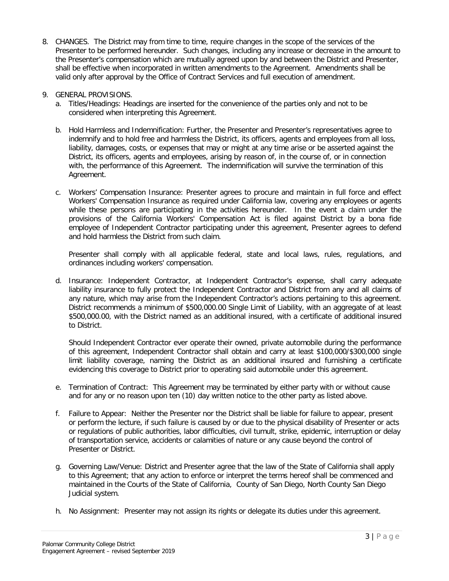- 8. CHANGES. The District may from time to time, require changes in the scope of the services of the Presenter to be performed hereunder. Such changes, including any increase or decrease in the amount to the Presenter's compensation which are mutually agreed upon by and between the District and Presenter, shall be effective when incorporated in written amendments to the Agreement. Amendments shall be valid only after approval by the Office of Contract Services and full execution of amendment.
- 9. GENERAL PROVISIONS.
	- a. Titles/Headings: Headings are inserted for the convenience of the parties only and not to be considered when interpreting this Agreement.
	- b. Hold Harmless and Indemnification: Further, the Presenter and Presenter's representatives agree to indemnify and to hold free and harmless the District, its officers, agents and employees from all loss, liability, damages, costs, or expenses that may or might at any time arise or be asserted against the District, its officers, agents and employees, arising by reason of, in the course of, or in connection with, the performance of this Agreement. The indemnification will survive the termination of this Agreement.
	- c. Workers' Compensation Insurance: Presenter agrees to procure and maintain in full force and effect Workers' Compensation Insurance as required under California law, covering any employees or agents while these persons are participating in the activities hereunder. In the event a claim under the provisions of the California Workers' Compensation Act is filed against District by a bona fide employee of Independent Contractor participating under this agreement, Presenter agrees to defend and hold harmless the District from such claim.

Presenter shall comply with all applicable federal, state and local laws, rules, regulations, and ordinances including workers' compensation.

d. Insurance: Independent Contractor, at Independent Contractor's expense, shall carry adequate liability insurance to fully protect the Independent Contractor and District from any and all claims of any nature, which may arise from the Independent Contractor's actions pertaining to this agreement. District recommends a minimum of \$500,000.00 Single Limit of Liability, with an aggregate of at least \$500,000.00, with the District named as an additional insured, with a certificate of additional insured to District.

Should Independent Contractor ever operate their owned, private automobile during the performance of this agreement, Independent Contractor shall obtain and carry at least \$100,000/\$300,000 single limit liability coverage, naming the District as an additional insured and furnishing a certificate evidencing this coverage to District prior to operating said automobile under this agreement.

- e. Termination of Contract: This Agreement may be terminated by either party with or without cause and for any or no reason upon ten (10) day written notice to the other party as listed above.
- f. Failure to Appear: Neither the Presenter nor the District shall be liable for failure to appear, present or perform the lecture, if such failure is caused by or due to the physical disability of Presenter or acts or regulations of public authorities, labor difficulties, civil tumult, strike, epidemic, interruption or delay of transportation service, accidents or calamities of nature or any cause beyond the control of Presenter or District.
- g. Governing Law/Venue: District and Presenter agree that the law of the State of California shall apply to this Agreement; that any action to enforce or interpret the terms hereof shall be commenced and maintained in the Courts of the State of California, County of San Diego, North County San Diego Judicial system.
- h. No Assignment: Presenter may not assign its rights or delegate its duties under this agreement.